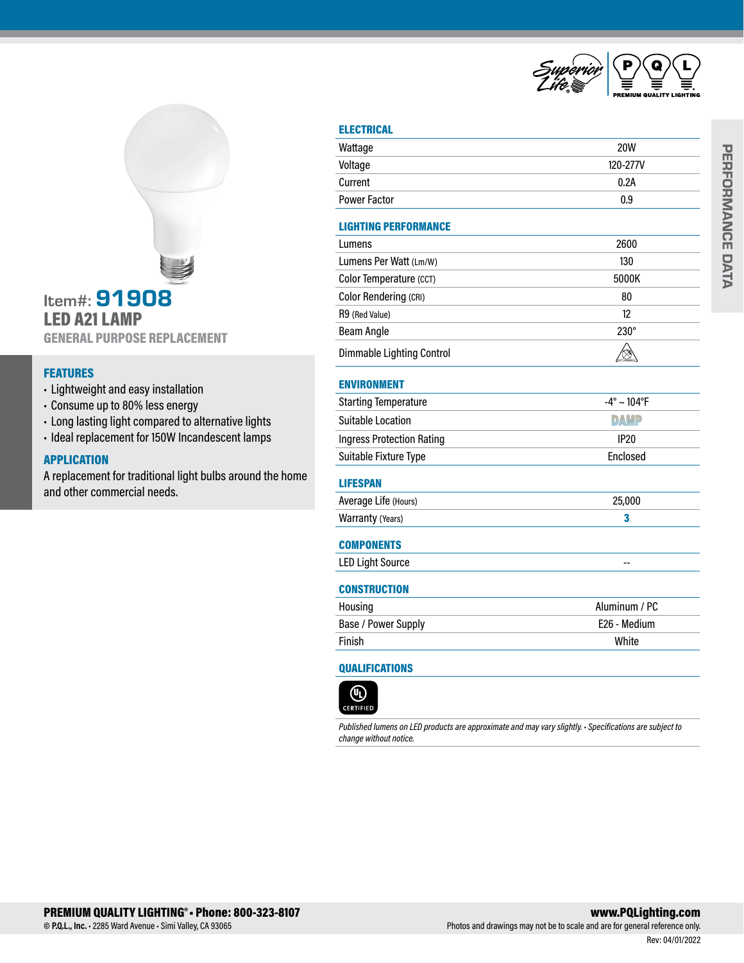

# Item#: 91908 LED A21 LAMP GENERAL PURPOSE REPLACEMENT

## FEATURES

- Lightweight and easy installation
- Consume up to 80% less energy
- Long lasting light compared to alternative lights
- Ideal replacement for 150W Incandescent lamps

## APPLICATION

A replacement for traditional light bulbs around the home and other commercial needs.

| -11<br>ш | ו הו<br>ı. |  |
|----------|------------|--|
|          | ٠          |  |

| Wattage                          | <b>20W</b>                     |
|----------------------------------|--------------------------------|
| Voltage                          | 120-277V                       |
| Current                          | 0.2A                           |
| <b>Power Factor</b>              | 0.9                            |
| <b>LIGHTING PERFORMANCE</b>      |                                |
| Lumens                           | 2600                           |
| Lumens Per Watt (Lm/W)           | 130                            |
| Color Temperature (CCT)          | 5000K                          |
| Color Rendering (CRI)            | 80                             |
| R9 (Red Value)                   | 12                             |
| <b>Beam Angle</b>                | $230^\circ$                    |
| Dimmable Lighting Control        | ⊗                              |
| <b>ENVIRONMENT</b>               |                                |
| <b>Starting Temperature</b>      | $-4^{\circ} \sim 104^{\circ}F$ |
| <b>Suitable Location</b>         | <b>DAMP</b>                    |
| <b>Ingress Protection Rating</b> | <b>IP20</b>                    |
| Suitable Fixture Type            | Enclosed                       |
| <b>LIFESPAN</b>                  |                                |
| Average Life (Hours)             | 25,000                         |
| Warranty (Years)                 | 3                              |
| <b>COMPONENTS</b>                |                                |
| <b>LED Light Source</b>          | --                             |
| <b>CONSTRUCTION</b>              |                                |
| Housing                          | Aluminum / PC                  |
| Base / Power Supply              | E26 - Medium                   |
| Finish                           | White                          |

## QUALIFICATIONS



*Published lumens on LED products are approximate and may vary slightly. • Specifications are subject to change without notice.*